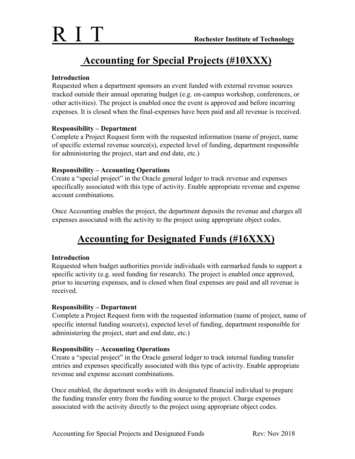## **Accounting for Special Projects (#10XXX)**

#### **Introduction**

Requested when a department sponsors an event funded with external revenue sources tracked outside their annual operating budget (e.g. on-campus workshop, conferences, or other activities). The project is enabled once the event is approved and before incurring expenses. It is closed when the final-expenses have been paid and all revenue is received.

#### **Responsibility – Department**

Complete a Project Request form with the requested information (name of project, name of specific external revenue source(s), expected level of funding, department responsible for administering the project, start and end date, etc.)

#### **Responsibility – Accounting Operations**

Create a "special project" in the Oracle general ledger to track revenue and expenses specifically associated with this type of activity. Enable appropriate revenue and expense account combinations.

Once Accounting enables the project, the department deposits the revenue and charges all expenses associated with the activity to the project using appropriate object codes.

# **Accounting for Designated Funds (#16XXX)**

#### **Introduction**

Requested when budget authorities provide individuals with earmarked funds to support a specific activity (e.g. seed funding for research). The project is enabled once approved, prior to incurring expenses, and is closed when final expenses are paid and all revenue is received.

#### **Responsibility – Department**

Complete a Project Request form with the requested information (name of project, name of specific internal funding source(s), expected level of funding, department responsible for administering the project, start and end date, etc.)

#### **Responsibility – Accounting Operations**

Create a "special project" in the Oracle general ledger to track internal funding transfer entries and expenses specifically associated with this type of activity. Enable appropriate revenue and expense account combinations.

Once enabled, the department works with its designated financial individual to prepare the funding transfer entry from the funding source to the project. Charge expenses associated with the activity directly to the project using appropriate object codes.